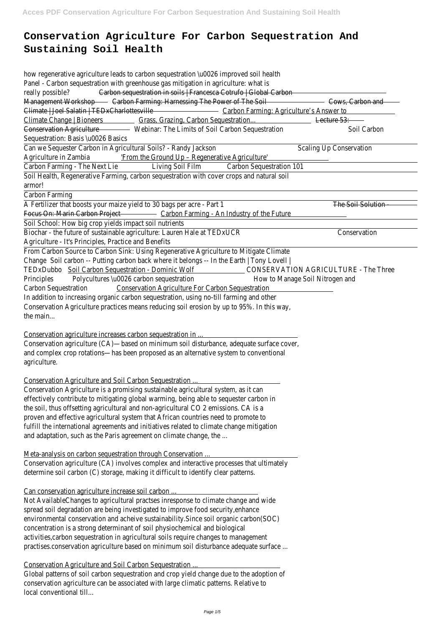# **Conservation Agriculture For Carbon Sequestration And Sustaining Soil Health**

Can we Sequester Carbon in Agricultural Soils? - Randy Jackson Scaling Up Conservation Agriculture in Zambia 'From the Ground Up - Regenerative Agriculture'

Carbon Farming - The Next LieLiving Soil Film Carbon Sequestration 101

how regenerative agriculture leads to carbon sequestration \u0026 improved soil health Panel - Carbon sequestration with greenhouse gas mitigation in agriculture: what is really possible? Carbon sequestration in soils | Francesca Cotrufo | Global Carbon-Management Workshop Farming: Harnessing The Power of The Soil Cows, Carbon and Climate | Joel Salatin | TEDxCharlottesville - Carbon Farming: Agriculture's Answer to Climate Change | Bioneers Grass, Grazing, Carbon Sequestration... Lecture 53: Conservation Agriculture Webinar: The Limits of Soil Carbon Sequestration Soil Carbon Sequestration: Basis \u0026 Basics

Soil Health, Regenerative Farming, carbon sequestration with cover crops and natural soil armor!

Carbon Farming

A Fertilizer that boosts your maize yield to 30 bags per acre - Part 1 The Soil Solution Focus On: Marin Carbon Project Carbon Farming - An Industry of the Future

Conservation Agriculture is a promising sustainable agricultural system, as it can effectively contribute to mitigating global warming, being able to sequester carbon in the soil, thus offsetting agricultural and non-agricultural CO 2 emissions. CA is a proven and effective agricultural system that African countries need to promote to fulfill the international agreements and initiatives related to climate change mitigation and adaptation, such as the Paris agreement on climate change, the ...

Soil School: How big crop yields impact soil nutrients

Biochar - the future of sustainable agriculture: Lauren Hale at TEDxUCR Conservation Agriculture - It's Principles, Practice and Benefits

From Carbon Source to Carbon Sink: Using Regenerative Agriculture to Mitigate Climate Chang&oil carbon -- Putting carbon back where it belongs -- In the Earth | Tony Lovell | TEDxDubbooil Carbon Sequestration - Dominic Wolf CONSERVATION AGRICULTURE - The Three Principles Polycultures \u0026 carbon sequestrationHow to Manage Soil Nitrogen and Carbon SequestrationConservation Agriculture For Carbon Sequestration

In addition to increasing organic carbon sequestration, using no-till farming and other Conservation Agriculture practices means reducing soil erosion by up to 95%. In this way, the main...

Conservation agriculture increases carbon sequestration in ...

Conservation agriculture (CA)—based on minimum soil disturbance, adequate surface cover, and complex crop rotations—has been proposed as an alternative system to conventional agriculture.

Conservation Agriculture and Soil Carbon Sequestration ...

## Meta-analysis on carbon sequestration through Conservation ...

Conservation agriculture (CA) involves complex and interactive processes that ultimately determine soil carbon (C) storage, making it difficult to identify clear patterns.

#### Can conservation agriculture increase soil carbon ...

Not AvailableChanges to agricultural practses inresponse to climate change and wide spread soil degradation are being investigated to improve food security,enhance environmental conservation and acheive sustainability.Since soil organic carbon(SOC) concentration is a strong determinant of soil physiochemical and biological activities,carbon sequestration in agricultural soils require changes to management practises.conservation agriculture based on minimum soil disturbance adequate surface ...

#### Conservation Agriculture and Soil Carbon Sequestration ...

Global patterns of soil carbon sequestration and crop yield change due to the adoption of conservation agriculture can be associated with large climatic patterns. Relative to local conventional till...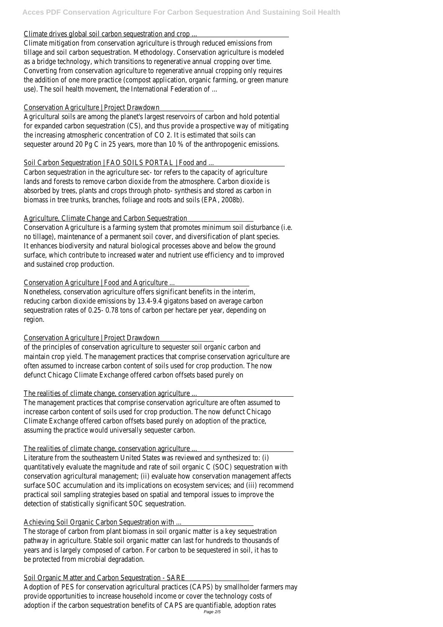#### Climate drives global soil carbon sequestration and crop ...

Climate mitigation from conservation agriculture is through reduced emissions from tillage and soil carbon sequestration. Methodology. Conservation agriculture is modeled as a bridge technology, which transitions to regenerative annual cropping over time. Converting from conservation agriculture to regenerative annual cropping only requires the addition of one more practice (compost application, organic farming, or green manure use). The soil health movement, the International Federation of ...

#### Conservation Agriculture | Project Drawdown

Agricultural soils are among the planet's largest reservoirs of carbon and hold potential for expanded carbon sequestration (CS), and thus provide a prospective way of mitigating the increasing atmospheric concentration of CO 2. It is estimated that soils can sequester around 20 Pg C in 25 years, more than 10 % of the anthropogenic emissions.

## Soil Carbon Sequestration | FAO SOILS PORTAL | Food and ...

Carbon sequestration in the agriculture sec- tor refers to the capacity of agriculture lands and forests to remove carbon dioxide from the atmosphere. Carbon dioxide is absorbed by trees, plants and crops through photo- synthesis and stored as carbon in biomass in tree trunks, branches, foliage and roots and soils (EPA, 2008b).

## Agriculture, Climate Change and Carbon Sequestration

Conservation Agriculture is a farming system that promotes minimum soil disturbance (i.e. no tillage), maintenance of a permanent soil cover, and diversification of plant species. It enhances biodiversity and natural biological processes above and below the ground surface, which contribute to increased water and nutrient use efficiency and to improved and sustained crop production.

## Conservation Agriculture | Food and Agriculture ...

Nonetheless, conservation agriculture offers significant benefits in the interim, reducing carbon dioxide emissions by 13.4-9.4 gigatons based on average carbon sequestration rates of 0.25- 0.78 tons of carbon per hectare per year, depending on region.

## Conservation Agriculture | Project Drawdown

of the principles of conservation agriculture to sequester soil organic carbon and maintain crop yield. The management practices that comprise conservation agriculture are often assumed to increase carbon content of soils used for crop production. The now defunct Chicago Climate Exchange offered carbon offsets based purely on

## The realities of climate change, conservation agriculture ...

The management practices that comprise conservation agriculture are often assumed to increase carbon content of soils used for crop production. The now defunct Chicago Climate Exchange offered carbon offsets based purely on adoption of the practice, assuming the practice would universally sequester carbon.

## The realities of climate change, conservation agriculture ...

Literature from the southeastern United States was reviewed and synthesized to: (i) quantitatively evaluate the magnitude and rate of soil organic C (SOC) sequestration with conservation agricultural management; (ii) evaluate how conservation management affects surface SOC accumulation and its implications on ecosystem services; and (iii) recommend practical soil sampling strategies based on spatial and temporal issues to improve the detection of statistically significant SOC sequestration.

#### Achieving Soil Organic Carbon Sequestration with ...

The storage of carbon from plant biomass in soil organic matter is a key sequestration pathway in agriculture. Stable soil organic matter can last for hundreds to thousands of years and is largely composed of carbon. For carbon to be sequestered in soil, it has to be protected from microbial degradation.

#### Soil Organic Matter and Carbon Sequestration - SARE

Adoption of PES for conservation agricultural practices (CAPS) by smallholder farmers may provide opportunities to increase household income or cover the technology costs of adoption if the carbon sequestration benefits of CAPS are quantifiable, adoption rates Page 2/5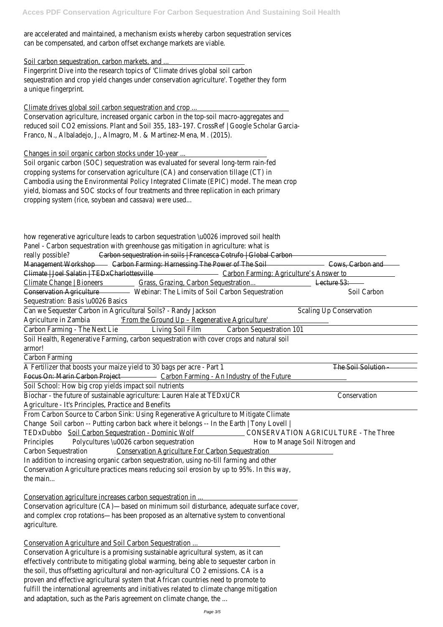are accelerated and maintained, a mechanism exists whereby carbon sequestration services can be compensated, and carbon offset exchange markets are viable.

#### Soil carbon sequestration, carbon markets, and ...

Fingerprint Dive into the research topics of 'Climate drives global soil carbon sequestration and crop yield changes under conservation agriculture'. Together they form a unique fingerprint.

Climate drives global soil carbon sequestration and crop ...

Conservation agriculture, increased organic carbon in the top-soil macro-aggregates and reduced soil CO2 emissions. Plant and Soil 355, 183–197. CrossRef | Google Scholar Garcia-Franco, N., Albaladejo, J., Almagro, M. & Martinez-Mena, M. (2015).

#### Changes in soil organic carbon stocks under 10-year ...

Soil organic carbon (SOC) sequestration was evaluated for several long-term rain-fed cropping systems for conservation agriculture (CA) and conservation tillage (CT) in Cambodia using the Environmental Policy Integrated Climate (EPIC) model. The mean crop yield, biomass and SOC stocks of four treatments and three replication in each primary cropping system (rice, soybean and cassava) were used...

how regenerative agriculture leads to carbon sequestration \u0026 improved soil health Panel - Carbon sequestration with greenhouse gas mitigation in agriculture: what is really possible? Carbon sequestration in soils | Francesca Cotrufo | Global Carbon-Management Workshop Farming: Harnessing The Power of The Soil Cows, Carbon and Climate | Joel Salatin | TEDxCharlottesville - Carbon Farming: Agriculture's Answer to Climate Change | Bioneers Grass, Grazing, Carbon Sequestration... Lecture 53: Conservation Agriculture Webinar: The Limits of Soil Carbon Sequestration Soil Carbon Sequestration: Basis \u0026 Basics

Conservation Agriculture is a promising sustainable agricultural system, as it can effectively contribute to mitigating global warming, being able to sequester carbon in the soil, thus offsetting agricultural and non-agricultural CO 2 emissions. CA is a proven and effective agricultural system that African countries need to promote to fulfill the international agreements and initiatives related to climate change mitigation and adaptation, such as the Paris agreement on climate change, the ...

Can we Sequester Carbon in Agricultural Soils? - Randy Jackson Scaling Up Conservation Agriculture in Zambia 'From the Ground Up – Regenerative Agriculture'

Carbon Farming - The Next Lid iving Soil Film Carbon Sequestration 101

Soil Health, Regenerative Farming, carbon sequestration with cover crops and natural soil armor!

Carbon Farming

A Fertilizer that boosts your maize yield to 30 bags per acre - Part 1 The Soil Solution Focus On: Marin Carbon Project Carbon Farming - An Industry of the Future

Soil School: How big crop yields impact soil nutrients

Biochar - the future of sustainable agriculture: Lauren Hale at TEDxUCR Conservation Agriculture - It's Principles, Practice and Benefits

From Carbon Source to Carbon Sink: Using Regenerative Agriculture to Mitigate Climate Chang&oil carbon -- Putting carbon back where it belongs -- In the Earth | Tony Lovell | TEDxDubboSoil Carbon Sequestration - Dominic Wolf CONSERVATION AGRICULTURE - The Three Principles Polycultures \u0026 carbon sequestrationHow to Manage Soil Nitrogen and Carbon SequestrationConservation Agriculture For Carbon Sequestration

In addition to increasing organic carbon sequestration, using no-till farming and other Conservation Agriculture practices means reducing soil erosion by up to 95%. In this way, the main...

#### Conservation agriculture increases carbon sequestration in ...

Conservation agriculture (CA)—based on minimum soil disturbance, adequate surface cover, and complex crop rotations—has been proposed as an alternative system to conventional agriculture.

#### Conservation Agriculture and Soil Carbon Sequestration ...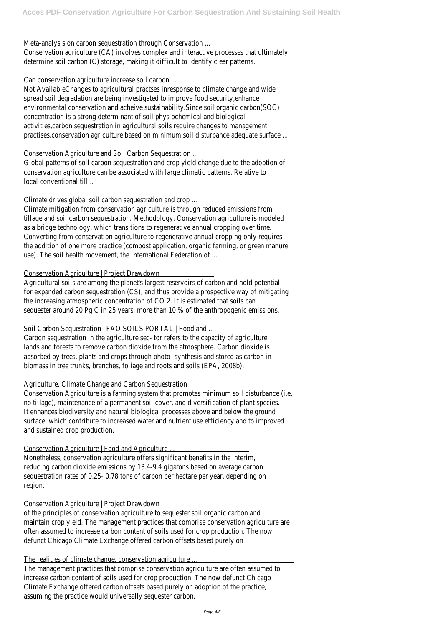#### Meta-analysis on carbon sequestration through Conservation ...

Conservation agriculture (CA) involves complex and interactive processes that ultimately determine soil carbon (C) storage, making it difficult to identify clear patterns.

## Can conservation agriculture increase soil carbon ...

Global patterns of soil carbon sequestration and crop yield change due to the adoption of conservation agriculture can be associated with large climatic patterns. Relative to local conventional till...

Not AvailableChanges to agricultural practses inresponse to climate change and wide spread soil degradation are being investigated to improve food security,enhance environmental conservation and acheive sustainability.Since soil organic carbon(SOC) concentration is a strong determinant of soil physiochemical and biological activities,carbon sequestration in agricultural soils require changes to management practises.conservation agriculture based on minimum soil disturbance adequate surface ...

## Conservation Agriculture and Soil Carbon Sequestration ...

## Climate drives global soil carbon sequestration and crop ...

Climate mitigation from conservation agriculture is through reduced emissions from tillage and soil carbon sequestration. Methodology. Conservation agriculture is modeled as a bridge technology, which transitions to regenerative annual cropping over time. Converting from conservation agriculture to regenerative annual cropping only requires the addition of one more practice (compost application, organic farming, or green manure use). The soil health movement, the International Federation of ...

## Conservation Agriculture | Project Drawdown

Agricultural soils are among the planet's largest reservoirs of carbon and hold potential for expanded carbon sequestration (CS), and thus provide a prospective way of mitigating the increasing atmospheric concentration of CO 2. It is estimated that soils can sequester around 20 Pg C in 25 years, more than 10 % of the anthropogenic emissions.

## Soil Carbon Sequestration | FAO SOILS PORTAL | Food and ...

Carbon sequestration in the agriculture sec- tor refers to the capacity of agriculture lands and forests to remove carbon dioxide from the atmosphere. Carbon dioxide is absorbed by trees, plants and crops through photo- synthesis and stored as carbon in biomass in tree trunks, branches, foliage and roots and soils (EPA, 2008b).

## Agriculture, Climate Change and Carbon Sequestration

Conservation Agriculture is a farming system that promotes minimum soil disturbance (i.e. no tillage), maintenance of a permanent soil cover, and diversification of plant species. It enhances biodiversity and natural biological processes above and below the ground surface, which contribute to increased water and nutrient use efficiency and to improved and sustained crop production.

## Conservation Agriculture | Food and Agriculture ...

Nonetheless, conservation agriculture offers significant benefits in the interim, reducing carbon dioxide emissions by 13.4-9.4 gigatons based on average carbon sequestration rates of 0.25- 0.78 tons of carbon per hectare per year, depending on region.

#### Conservation Agriculture | Project Drawdown

of the principles of conservation agriculture to sequester soil organic carbon and maintain crop yield. The management practices that comprise conservation agriculture are often assumed to increase carbon content of soils used for crop production. The now defunct Chicago Climate Exchange offered carbon offsets based purely on

#### The realities of climate change, conservation agriculture ...

The management practices that comprise conservation agriculture are often assumed to increase carbon content of soils used for crop production. The now defunct Chicago Climate Exchange offered carbon offsets based purely on adoption of the practice, assuming the practice would universally sequester carbon.